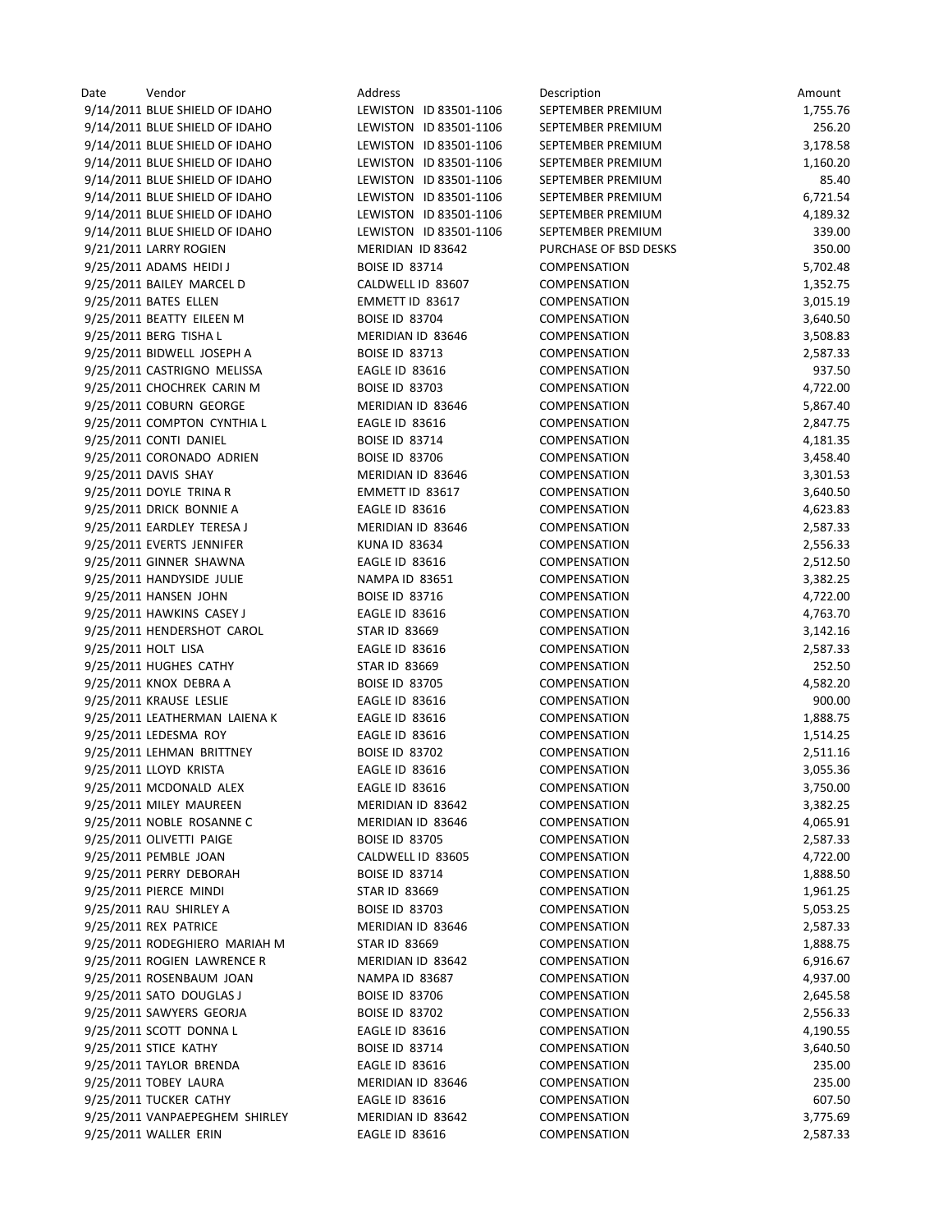| Date | Vendor                         | Address                | Description           | Amount   |
|------|--------------------------------|------------------------|-----------------------|----------|
|      | 9/14/2011 BLUE SHIELD OF IDAHO | LEWISTON ID 83501-1106 | SEPTEMBER PREMIUM     | 1,755.76 |
|      | 9/14/2011 BLUE SHIELD OF IDAHO | LEWISTON ID 83501-1106 | SEPTEMBER PREMIUM     | 256.20   |
|      | 9/14/2011 BLUE SHIELD OF IDAHO | LEWISTON ID 83501-1106 | SEPTEMBER PREMIUM     | 3,178.58 |
|      | 9/14/2011 BLUE SHIELD OF IDAHO | LEWISTON ID 83501-1106 | SEPTEMBER PREMIUM     | 1,160.20 |
|      | 9/14/2011 BLUE SHIELD OF IDAHO | LEWISTON ID 83501-1106 | SEPTEMBER PREMIUM     | 85.40    |
|      | 9/14/2011 BLUE SHIELD OF IDAHO | LEWISTON ID 83501-1106 | SEPTEMBER PREMIUM     | 6,721.54 |
|      | 9/14/2011 BLUE SHIELD OF IDAHO | LEWISTON ID 83501-1106 | SEPTEMBER PREMIUM     | 4,189.32 |
|      | 9/14/2011 BLUE SHIELD OF IDAHO | LEWISTON ID 83501-1106 | SEPTEMBER PREMIUM     | 339.00   |
|      | 9/21/2011 LARRY ROGIEN         | MERIDIAN ID 83642      | PURCHASE OF BSD DESKS | 350.00   |
|      | 9/25/2011 ADAMS HEIDI J        | <b>BOISE ID 83714</b>  | <b>COMPENSATION</b>   | 5,702.48 |
|      | 9/25/2011 BAILEY MARCEL D      | CALDWELL ID 83607      | <b>COMPENSATION</b>   | 1,352.75 |
|      | 9/25/2011 BATES ELLEN          | EMMETT ID 83617        | COMPENSATION          | 3,015.19 |
|      | 9/25/2011 BEATTY EILEEN M      | <b>BOISE ID 83704</b>  | COMPENSATION          | 3,640.50 |
|      | 9/25/2011 BERG TISHA L         | MERIDIAN ID 83646      | <b>COMPENSATION</b>   | 3,508.83 |
|      | 9/25/2011 BIDWELL JOSEPH A     | <b>BOISE ID 83713</b>  | <b>COMPENSATION</b>   | 2,587.33 |
|      | 9/25/2011 CASTRIGNO MELISSA    | EAGLE ID 83616         | COMPENSATION          | 937.50   |
|      | 9/25/2011 CHOCHREK CARIN M     | <b>BOISE ID 83703</b>  | <b>COMPENSATION</b>   | 4,722.00 |
|      | 9/25/2011 COBURN GEORGE        | MERIDIAN ID 83646      | COMPENSATION          | 5,867.40 |
|      |                                |                        | COMPENSATION          |          |
|      | 9/25/2011 COMPTON CYNTHIA L    | <b>EAGLE ID 83616</b>  |                       | 2,847.75 |
|      | 9/25/2011 CONTI DANIEL         | <b>BOISE ID 83714</b>  | COMPENSATION          | 4,181.35 |
|      | 9/25/2011 CORONADO ADRIEN      | <b>BOISE ID 83706</b>  | COMPENSATION          | 3,458.40 |
|      | 9/25/2011 DAVIS SHAY           | MERIDIAN ID 83646      | COMPENSATION          | 3,301.53 |
|      | 9/25/2011 DOYLE TRINA R        | EMMETT ID 83617        | COMPENSATION          | 3,640.50 |
|      | 9/25/2011 DRICK BONNIE A       | <b>EAGLE ID 83616</b>  | <b>COMPENSATION</b>   | 4,623.83 |
|      | 9/25/2011 EARDLEY TERESA J     | MERIDIAN ID 83646      | <b>COMPENSATION</b>   | 2,587.33 |
|      | 9/25/2011 EVERTS JENNIFER      | <b>KUNA ID 83634</b>   | <b>COMPENSATION</b>   | 2,556.33 |
|      | 9/25/2011 GINNER SHAWNA        | <b>EAGLE ID 83616</b>  | COMPENSATION          | 2,512.50 |
|      | 9/25/2011 HANDYSIDE JULIE      | <b>NAMPA ID 83651</b>  | COMPENSATION          | 3,382.25 |
|      | 9/25/2011 HANSEN JOHN          | <b>BOISE ID 83716</b>  | <b>COMPENSATION</b>   | 4,722.00 |
|      | 9/25/2011 HAWKINS CASEY J      | <b>EAGLE ID 83616</b>  | <b>COMPENSATION</b>   | 4,763.70 |
|      | 9/25/2011 HENDERSHOT CAROL     | <b>STAR ID 83669</b>   | <b>COMPENSATION</b>   | 3,142.16 |
|      | 9/25/2011 HOLT LISA            | <b>EAGLE ID 83616</b>  | COMPENSATION          | 2,587.33 |
|      | 9/25/2011 HUGHES CATHY         | <b>STAR ID 83669</b>   | <b>COMPENSATION</b>   | 252.50   |
|      | 9/25/2011 KNOX DEBRA A         | <b>BOISE ID 83705</b>  | COMPENSATION          | 4,582.20 |
|      | 9/25/2011 KRAUSE LESLIE        | <b>EAGLE ID 83616</b>  | <b>COMPENSATION</b>   | 900.00   |
|      | 9/25/2011 LEATHERMAN LAIENA K  | <b>EAGLE ID 83616</b>  | COMPENSATION          | 1,888.75 |
|      | 9/25/2011 LEDESMA ROY          | <b>EAGLE ID 83616</b>  | COMPENSATION          | 1,514.25 |
|      | 9/25/2011 LEHMAN BRITTNEY      | <b>BOISE ID 83702</b>  | COMPENSATION          | 2,511.16 |
|      | 9/25/2011 LLOYD KRISTA         | <b>EAGLE ID 83616</b>  | COMPENSATION          | 3,055.36 |
|      | 9/25/2011 MCDONALD ALEX        | <b>EAGLE ID 83616</b>  | COMPENSATION          | 3,750.00 |
|      | 9/25/2011 MILEY MAUREEN        | MERIDIAN ID 83642      | COMPENSATION          | 3,382.25 |
|      | 9/25/2011 NOBLE ROSANNE C      | MERIDIAN ID 83646      | COMPENSATION          | 4,065.91 |
|      | 9/25/2011 OLIVETTI PAIGE       | <b>BOISE ID 83705</b>  | COMPENSATION          | 2,587.33 |
|      | 9/25/2011 PEMBLE JOAN          | CALDWELL ID 83605      | <b>COMPENSATION</b>   | 4,722.00 |
|      | 9/25/2011 PERRY DEBORAH        | <b>BOISE ID 83714</b>  | <b>COMPENSATION</b>   | 1,888.50 |
|      | 9/25/2011 PIERCE MINDI         | <b>STAR ID 83669</b>   | <b>COMPENSATION</b>   | 1,961.25 |
|      | 9/25/2011 RAU SHIRLEY A        | <b>BOISE ID 83703</b>  | COMPENSATION          | 5,053.25 |
|      | 9/25/2011 REX PATRICE          | MERIDIAN ID 83646      | COMPENSATION          | 2,587.33 |
|      | 9/25/2011 RODEGHIERO MARIAH M  | <b>STAR ID 83669</b>   | <b>COMPENSATION</b>   | 1,888.75 |
|      | 9/25/2011 ROGIEN LAWRENCE R    | MERIDIAN ID 83642      | <b>COMPENSATION</b>   | 6,916.67 |
|      | 9/25/2011 ROSENBAUM JOAN       | NAMPA ID 83687         | <b>COMPENSATION</b>   | 4,937.00 |
|      |                                |                        |                       |          |
|      | 9/25/2011 SATO DOUGLAS J       | <b>BOISE ID 83706</b>  | COMPENSATION          | 2,645.58 |
|      | 9/25/2011 SAWYERS GEORJA       | <b>BOISE ID 83702</b>  | <b>COMPENSATION</b>   | 2,556.33 |
|      | 9/25/2011 SCOTT DONNA L        | <b>EAGLE ID 83616</b>  | COMPENSATION          | 4,190.55 |
|      | 9/25/2011 STICE KATHY          | <b>BOISE ID 83714</b>  | COMPENSATION          | 3,640.50 |
|      | 9/25/2011 TAYLOR BRENDA        | <b>EAGLE ID 83616</b>  | COMPENSATION          | 235.00   |
|      | 9/25/2011 TOBEY LAURA          | MERIDIAN ID 83646      | <b>COMPENSATION</b>   | 235.00   |
|      | 9/25/2011 TUCKER CATHY         | <b>EAGLE ID 83616</b>  | <b>COMPENSATION</b>   | 607.50   |
|      | 9/25/2011 VANPAEPEGHEM SHIRLEY | MERIDIAN ID 83642      | COMPENSATION          | 3,775.69 |
|      | 9/25/2011 WALLER ERIN          | EAGLE ID 83616         | COMPENSATION          | 2,587.33 |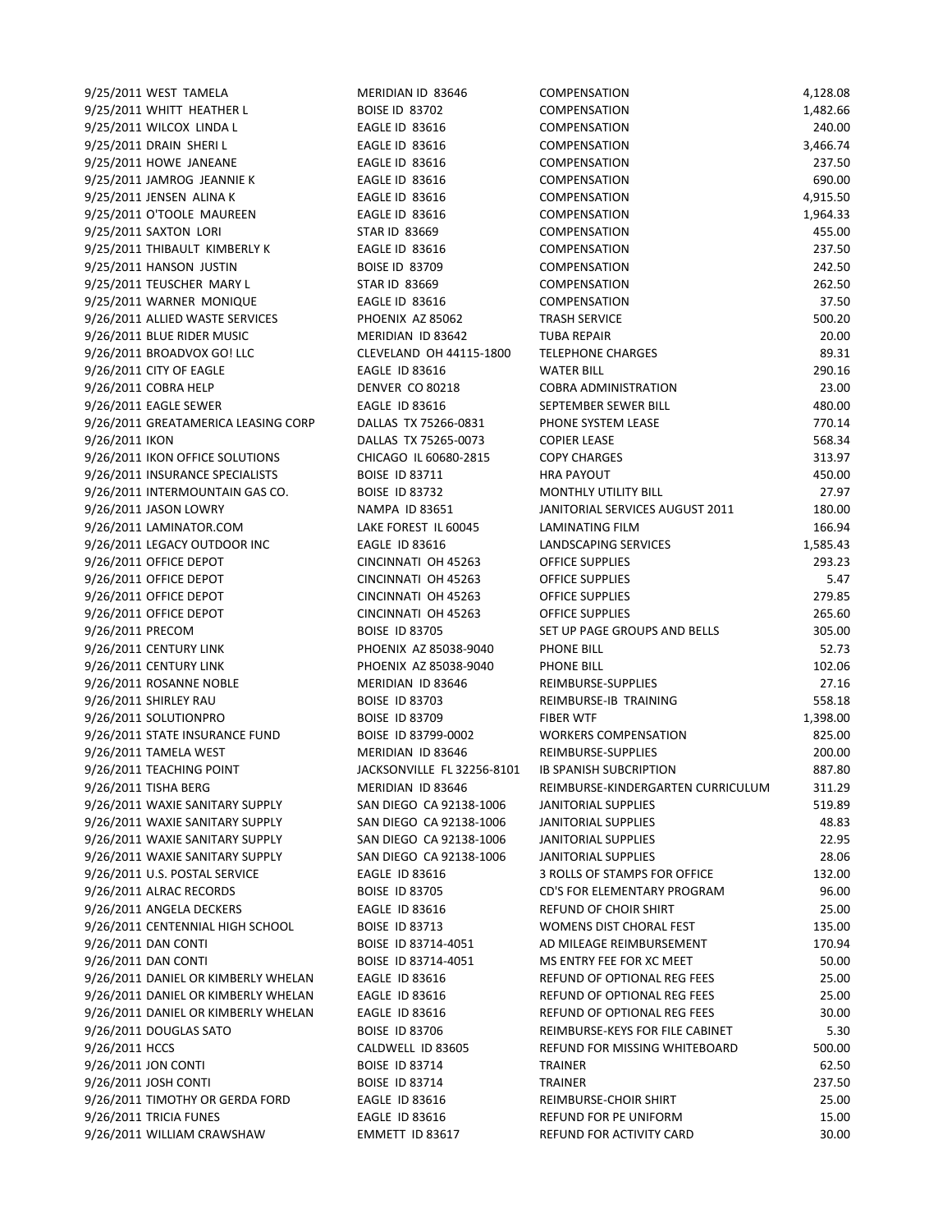| 9/25/2011 WEST TAMELA                                      | MERIDIAN ID 83646                             | COMPENSATION                                         | 4,128.08           |
|------------------------------------------------------------|-----------------------------------------------|------------------------------------------------------|--------------------|
| 9/25/2011 WHITT HEATHER L                                  | <b>BOISE ID 83702</b>                         | <b>COMPENSATION</b>                                  | 1,482.66           |
| 9/25/2011 WILCOX LINDA L                                   | <b>EAGLE ID 83616</b>                         | <b>COMPENSATION</b>                                  | 240.00             |
| 9/25/2011 DRAIN SHERI L                                    | EAGLE ID 83616                                | <b>COMPENSATION</b>                                  | 3,466.74           |
| 9/25/2011 HOWE JANEANE                                     | <b>EAGLE ID 83616</b>                         | COMPENSATION                                         | 237.50             |
| 9/25/2011 JAMROG JEANNIE K                                 | <b>EAGLE ID 83616</b>                         | COMPENSATION                                         | 690.00             |
| 9/25/2011 JENSEN ALINA K                                   | <b>EAGLE ID 83616</b>                         | <b>COMPENSATION</b>                                  | 4,915.50           |
| 9/25/2011 O'TOOLE MAUREEN                                  | <b>EAGLE ID 83616</b>                         | COMPENSATION                                         | 1,964.33           |
| 9/25/2011 SAXTON LORI                                      | <b>STAR ID 83669</b>                          | COMPENSATION                                         | 455.00             |
| 9/25/2011 THIBAULT KIMBERLY K                              | <b>EAGLE ID 83616</b>                         | <b>COMPENSATION</b>                                  | 237.50             |
| 9/25/2011 HANSON JUSTIN                                    | <b>BOISE ID 83709</b>                         | COMPENSATION                                         | 242.50             |
| 9/25/2011 TEUSCHER MARY L                                  | <b>STAR ID 83669</b>                          | <b>COMPENSATION</b>                                  | 262.50             |
| 9/25/2011 WARNER MONIQUE                                   | EAGLE ID 83616                                | COMPENSATION                                         | 37.50              |
| 9/26/2011 ALLIED WASTE SERVICES                            | PHOENIX AZ 85062                              | <b>TRASH SERVICE</b>                                 | 500.20             |
| 9/26/2011 BLUE RIDER MUSIC                                 | MERIDIAN ID 83642                             | <b>TUBA REPAIR</b>                                   | 20.00              |
| 9/26/2011 BROADVOX GO! LLC                                 | CLEVELAND OH 44115-1800                       | <b>TELEPHONE CHARGES</b>                             | 89.31              |
| 9/26/2011 CITY OF EAGLE                                    | <b>EAGLE ID 83616</b>                         | <b>WATER BILL</b>                                    | 290.16             |
| 9/26/2011 COBRA HELP                                       | DENVER CO 80218                               | <b>COBRA ADMINISTRATION</b>                          | 23.00              |
| 9/26/2011 EAGLE SEWER                                      | <b>EAGLE ID 83616</b>                         | SEPTEMBER SEWER BILL                                 | 480.00             |
| 9/26/2011 GREATAMERICA LEASING CORP                        | DALLAS TX 75266-0831                          | PHONE SYSTEM LEASE                                   | 770.14             |
| 9/26/2011 IKON                                             | DALLAS TX 75265-0073                          | <b>COPIER LEASE</b>                                  | 568.34             |
| 9/26/2011 IKON OFFICE SOLUTIONS                            | CHICAGO IL 60680-2815                         | <b>COPY CHARGES</b>                                  | 313.97             |
| 9/26/2011 INSURANCE SPECIALISTS                            | <b>BOISE ID 83711</b>                         | <b>HRA PAYOUT</b>                                    | 450.00             |
| 9/26/2011 INTERMOUNTAIN GAS CO.                            | <b>BOISE ID 83732</b>                         | MONTHLY UTILITY BILL                                 | 27.97              |
| 9/26/2011 JASON LOWRY                                      | <b>NAMPA ID 83651</b><br>LAKE FOREST IL 60045 | JANITORIAL SERVICES AUGUST 2011                      | 180.00             |
| 9/26/2011 LAMINATOR.COM<br>9/26/2011 LEGACY OUTDOOR INC    | <b>EAGLE ID 83616</b>                         | LAMINATING FILM                                      | 166.94<br>1,585.43 |
| 9/26/2011 OFFICE DEPOT                                     | CINCINNATI OH 45263                           | LANDSCAPING SERVICES<br><b>OFFICE SUPPLIES</b>       | 293.23             |
| 9/26/2011 OFFICE DEPOT                                     | CINCINNATI OH 45263                           | OFFICE SUPPLIES                                      | 5.47               |
| 9/26/2011 OFFICE DEPOT                                     | CINCINNATI OH 45263                           | OFFICE SUPPLIES                                      | 279.85             |
| 9/26/2011 OFFICE DEPOT                                     | CINCINNATI OH 45263                           | <b>OFFICE SUPPLIES</b>                               | 265.60             |
| 9/26/2011 PRECOM                                           | <b>BOISE ID 83705</b>                         | SET UP PAGE GROUPS AND BELLS                         | 305.00             |
| 9/26/2011 CENTURY LINK                                     | PHOENIX AZ 85038-9040                         | PHONE BILL                                           | 52.73              |
| 9/26/2011 CENTURY LINK                                     | PHOENIX AZ 85038-9040                         | PHONE BILL                                           | 102.06             |
| 9/26/2011 ROSANNE NOBLE                                    | MERIDIAN ID 83646                             | REIMBURSE-SUPPLIES                                   | 27.16              |
| 9/26/2011 SHIRLEY RAU                                      | <b>BOISE ID 83703</b>                         | REIMBURSE-IB TRAINING                                | 558.18             |
| 9/26/2011 SOLUTIONPRO                                      | <b>BOISE ID 83709</b>                         | <b>FIBER WTF</b>                                     | 1,398.00           |
| 9/26/2011 STATE INSURANCE FUND                             | BOISE ID 83799-0002                           | <b>WORKERS COMPENSATION</b>                          | 825.00             |
| 9/26/2011 TAMELA WEST                                      | MERIDIAN ID 83646                             | REIMBURSE-SUPPLIES                                   | 200.00             |
| 9/26/2011 TEACHING POINT                                   | JACKSONVILLE FL 32256-8101                    | <b>IB SPANISH SUBCRIPTION</b>                        | 887.80             |
| 9/26/2011 TISHA BERG                                       | MERIDIAN ID 83646                             | REIMBURSE-KINDERGARTEN CURRICULUM                    | 311.29             |
| 9/26/2011 WAXIE SANITARY SUPPLY                            | SAN DIEGO CA 92138-1006                       | JANITORIAL SUPPLIES                                  | 519.89             |
| 9/26/2011 WAXIE SANITARY SUPPLY                            | SAN DIEGO CA 92138-1006                       | JANITORIAL SUPPLIES                                  | 48.83              |
| 9/26/2011 WAXIE SANITARY SUPPLY                            | SAN DIEGO CA 92138-1006                       | JANITORIAL SUPPLIES                                  | 22.95              |
| 9/26/2011 WAXIE SANITARY SUPPLY                            | SAN DIEGO CA 92138-1006                       | <b>JANITORIAL SUPPLIES</b>                           | 28.06              |
| 9/26/2011 U.S. POSTAL SERVICE                              | <b>EAGLE ID 83616</b>                         | <b>3 ROLLS OF STAMPS FOR OFFICE</b>                  | 132.00             |
| 9/26/2011 ALRAC RECORDS                                    | <b>BOISE ID 83705</b>                         | CD'S FOR ELEMENTARY PROGRAM                          | 96.00              |
| 9/26/2011 ANGELA DECKERS                                   | <b>EAGLE ID 83616</b>                         | <b>REFUND OF CHOIR SHIRT</b>                         | 25.00              |
| 9/26/2011 CENTENNIAL HIGH SCHOOL                           | <b>BOISE ID 83713</b>                         | <b>WOMENS DIST CHORAL FEST</b>                       | 135.00             |
| 9/26/2011 DAN CONTI                                        | BOISE ID 83714-4051                           | AD MILEAGE REIMBURSEMENT<br>MS ENTRY FEE FOR XC MEET | 170.94             |
| 9/26/2011 DAN CONTI<br>9/26/2011 DANIEL OR KIMBERLY WHELAN | BOISE ID 83714-4051<br><b>EAGLE ID 83616</b>  | <b>REFUND OF OPTIONAL REG FEES</b>                   | 50.00<br>25.00     |
| 9/26/2011 DANIEL OR KIMBERLY WHELAN                        | <b>EAGLE ID 83616</b>                         | REFUND OF OPTIONAL REG FEES                          | 25.00              |
| 9/26/2011 DANIEL OR KIMBERLY WHELAN                        | <b>EAGLE ID 83616</b>                         | REFUND OF OPTIONAL REG FEES                          | 30.00              |
| 9/26/2011 DOUGLAS SATO                                     | <b>BOISE ID 83706</b>                         | REIMBURSE-KEYS FOR FILE CABINET                      | 5.30               |
| 9/26/2011 HCCS                                             | CALDWELL ID 83605                             | REFUND FOR MISSING WHITEBOARD                        | 500.00             |
| 9/26/2011 JON CONTI                                        | <b>BOISE ID 83714</b>                         | <b>TRAINER</b>                                       | 62.50              |
| 9/26/2011 JOSH CONTI                                       | <b>BOISE ID 83714</b>                         | TRAINER                                              | 237.50             |
| 9/26/2011 TIMOTHY OR GERDA FORD                            | <b>EAGLE ID 83616</b>                         | REIMBURSE-CHOIR SHIRT                                | 25.00              |
| 9/26/2011 TRICIA FUNES                                     | <b>EAGLE ID 83616</b>                         | REFUND FOR PE UNIFORM                                | 15.00              |
| 9/26/2011 WILLIAM CRAWSHAW                                 | EMMETT ID 83617                               | REFUND FOR ACTIVITY CARD                             | 30.00              |
|                                                            |                                               |                                                      |                    |